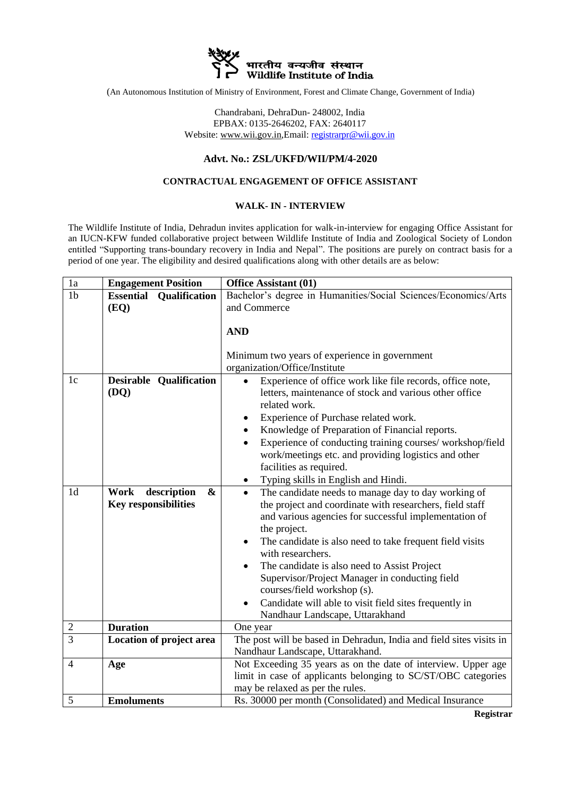

(An Autonomous Institution of Ministry of Environment, Forest and Climate Change, Government of India)

Chandrabani, DehraDun- 248002, India EPBAX: 0135-2646202, FAX: 2640117 Website: www.wii.gov.in,Email: registrarpr@wii.gov.in

## **Advt. No.: ZSL/UKFD/WII/PM/4-2020**

## **CONTRACTUAL ENGAGEMENT OF OFFICE ASSISTANT**

## **WALK- IN - INTERVIEW**

The Wildlife Institute of India, Dehradun invites application for walk-in-interview for engaging Office Assistant for an IUCN-KFW funded collaborative project between Wildlife Institute of India and Zoological Society of London entitled "Supporting trans-boundary recovery in India and Nepal". The positions are purely on contract basis for a period of one year. The eligibility and desired qualifications along with other details are as below:

| 1a             | <b>Engagement Position</b>                              | <b>Office Assistant (01)</b>                                                                                                                                                                                                                                                                                                                                                                                                                                                                                                                   |
|----------------|---------------------------------------------------------|------------------------------------------------------------------------------------------------------------------------------------------------------------------------------------------------------------------------------------------------------------------------------------------------------------------------------------------------------------------------------------------------------------------------------------------------------------------------------------------------------------------------------------------------|
| 1 <sub>b</sub> | <b>Essential Qualification</b><br>(EQ)                  | Bachelor's degree in Humanities/Social Sciences/Economics/Arts<br>and Commerce                                                                                                                                                                                                                                                                                                                                                                                                                                                                 |
|                |                                                         | <b>AND</b><br>Minimum two years of experience in government<br>organization/Office/Institute                                                                                                                                                                                                                                                                                                                                                                                                                                                   |
| 1c             | Qualification<br><b>Desirable</b><br>(DQ)               | Experience of office work like file records, office note,<br>letters, maintenance of stock and various other office<br>related work.<br>Experience of Purchase related work.<br>$\bullet$<br>Knowledge of Preparation of Financial reports.<br>Experience of conducting training courses/workshop/field<br>work/meetings etc. and providing logistics and other<br>facilities as required.<br>Typing skills in English and Hindi.<br>٠                                                                                                         |
| 1 <sub>d</sub> | description<br>Work<br>&<br><b>Key responsibilities</b> | The candidate needs to manage day to day working of<br>$\bullet$<br>the project and coordinate with researchers, field staff<br>and various agencies for successful implementation of<br>the project.<br>The candidate is also need to take frequent field visits<br>$\bullet$<br>with researchers.<br>The candidate is also need to Assist Project<br>Supervisor/Project Manager in conducting field<br>courses/field workshop (s).<br>Candidate will able to visit field sites frequently in<br>$\bullet$<br>Nandhaur Landscape, Uttarakhand |
| $\overline{2}$ | <b>Duration</b>                                         | One year                                                                                                                                                                                                                                                                                                                                                                                                                                                                                                                                       |
| 3              | Location of project area                                | The post will be based in Dehradun, India and field sites visits in<br>Nandhaur Landscape, Uttarakhand.                                                                                                                                                                                                                                                                                                                                                                                                                                        |
| $\overline{4}$ | Age                                                     | Not Exceeding 35 years as on the date of interview. Upper age<br>limit in case of applicants belonging to SC/ST/OBC categories<br>may be relaxed as per the rules.                                                                                                                                                                                                                                                                                                                                                                             |
| 5              | <b>Emoluments</b>                                       | Rs. 30000 per month (Consolidated) and Medical Insurance                                                                                                                                                                                                                                                                                                                                                                                                                                                                                       |

**Registrar**